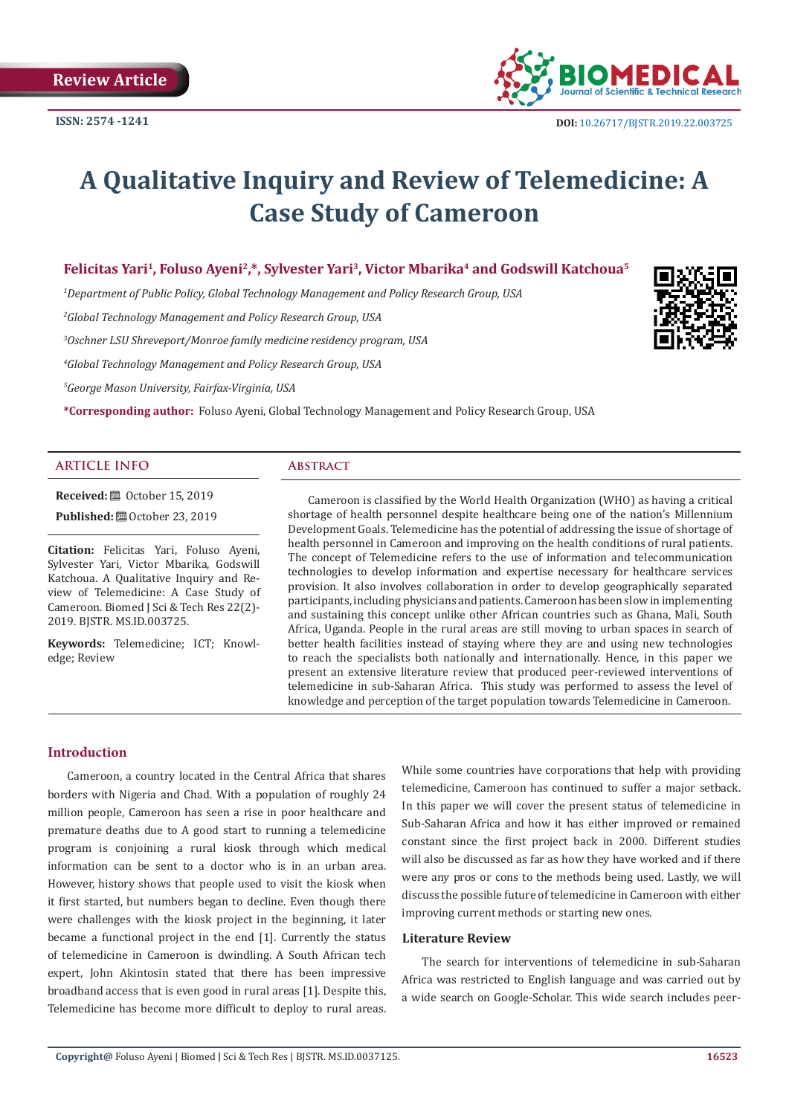

# **A Qualitative Inquiry and Review of Telemedicine: A Case Study of Cameroon**

# **Felicitas Yari1, Foluso Ayeni2,\*, Sylvester Yari3, Victor Mbarika4 and Godswill Katchoua5**

*1 Department of Public Policy, Global Technology Management and Policy Research Group, USA*

*2 Global Technology Management and Policy Research Group, USA*

*3 Oschner LSU Shreveport/Monroe family medicine residency program, USA*

*4 Global Technology Management and Policy Research Group, USA*

*5 George Mason University, Fairfax-Virginia, USA*

**\*Corresponding author:** Foluso Ayeni, Global Technology Management and Policy Research Group, USA

#### **ARTICLE INFO Abstract**

**Received:** ■ October 15, 2019

**Published:**  $\blacksquare$  October 23, 2019

**Citation:** Felicitas Yari, Foluso Ayeni, Sylvester Yari, Victor Mbarika, Godswill Katchoua. A Qualitative Inquiry and Review of Telemedicine: A Case Study of Cameroon. Biomed J Sci & Tech Res 22(2)- 2019. BJSTR. MS.ID.003725.

**Keywords:** Telemedicine; ICT; Knowledge; Review

Cameroon is classified by the World Health Organization (WHO) as having a critical shortage of health personnel despite healthcare being one of the nation's Millennium Development Goals. Telemedicine has the potential of addressing the issue of shortage of health personnel in Cameroon and improving on the health conditions of rural patients. The concept of Telemedicine refers to the use of information and telecommunication technologies to develop information and expertise necessary for healthcare services provision. It also involves collaboration in order to develop geographically separated participants, including physicians and patients. Cameroon has been slow in implementing and sustaining this concept unlike other African countries such as Ghana, Mali, South Africa, Uganda. People in the rural areas are still moving to urban spaces in search of better health facilities instead of staying where they are and using new technologies to reach the specialists both nationally and internationally. Hence, in this paper we present an extensive literature review that produced peer-reviewed interventions of telemedicine in sub-Saharan Africa. This study was performed to assess the level of knowledge and perception of the target population towards Telemedicine in Cameroon.

# **Introduction**

Cameroon, a country located in the Central Africa that shares borders with Nigeria and Chad. With a population of roughly 24 million people, Cameroon has seen a rise in poor healthcare and premature deaths due to A good start to running a telemedicine program is conjoining a rural kiosk through which medical information can be sent to a doctor who is in an urban area. However, history shows that people used to visit the kiosk when it first started, but numbers began to decline. Even though there were challenges with the kiosk project in the beginning, it later became a functional project in the end [1]. Currently the status of telemedicine in Cameroon is dwindling. A South African tech expert, John Akintosin stated that there has been impressive broadband access that is even good in rural areas [1]. Despite this, Telemedicine has become more difficult to deploy to rural areas.

While some countries have corporations that help with providing telemedicine, Cameroon has continued to suffer a major setback. In this paper we will cover the present status of telemedicine in Sub-Saharan Africa and how it has either improved or remained constant since the first project back in 2000. Different studies will also be discussed as far as how they have worked and if there were any pros or cons to the methods being used. Lastly, we will discuss the possible future of telemedicine in Cameroon with either improving current methods or starting new ones.

#### **Literature Review**

The search for interventions of telemedicine in sub-Saharan Africa was restricted to English language and was carried out by a wide search on Google-Scholar. This wide search includes peer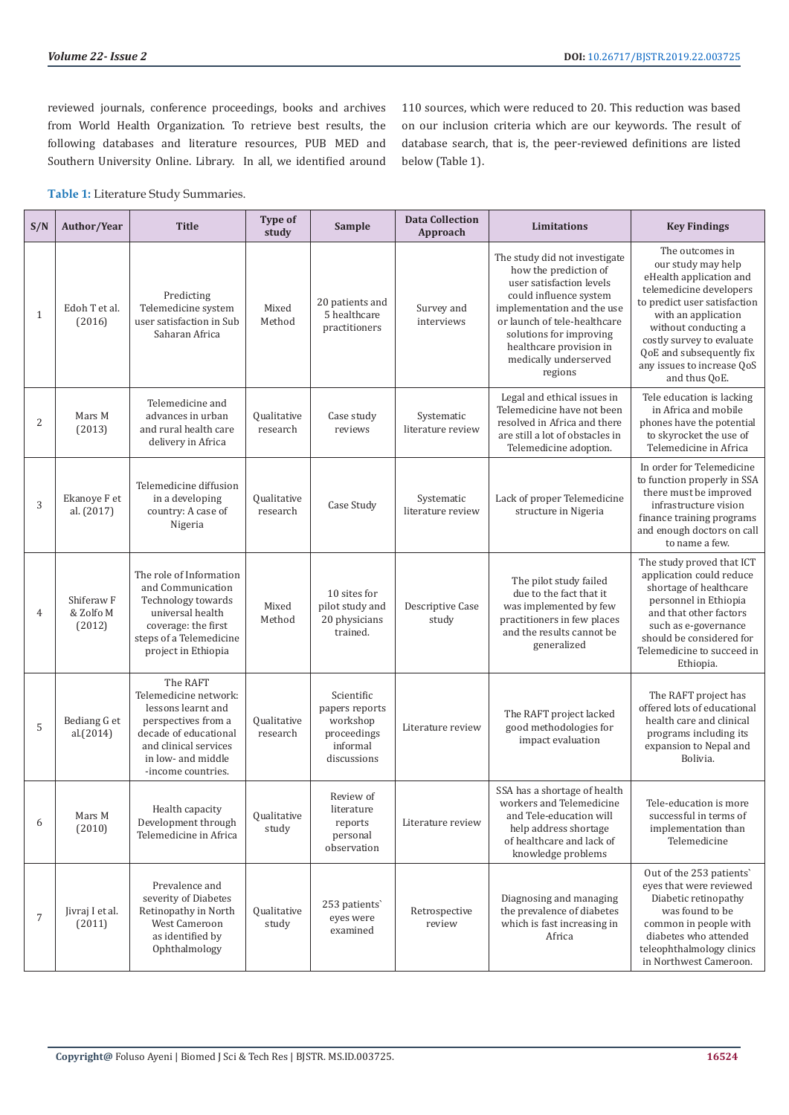reviewed journals, conference proceedings, books and archives from World Health Organization. To retrieve best results, the following databases and literature resources, PUB MED and Southern University Online. Library. In all, we identified around 110 sources, which were reduced to 20. This reduction was based on our inclusion criteria which are our keywords. The result of database search, that is, the peer-reviewed definitions are listed below (Table 1).

**Table 1:** Literature Study Summaries.

| S/N            | Author/Year                                  | <b>Title</b>                                                                                                                                                                 | Type of<br>study               | Sample                                                                             | <b>Data Collection</b><br>Approach | <b>Limitations</b>                                                                                                                                                                                                                                                   | <b>Key Findings</b>                                                                                                                                                                                                                                                                |
|----------------|----------------------------------------------|------------------------------------------------------------------------------------------------------------------------------------------------------------------------------|--------------------------------|------------------------------------------------------------------------------------|------------------------------------|----------------------------------------------------------------------------------------------------------------------------------------------------------------------------------------------------------------------------------------------------------------------|------------------------------------------------------------------------------------------------------------------------------------------------------------------------------------------------------------------------------------------------------------------------------------|
| $\mathbf{1}$   | Edoh T et al.<br>(2016)                      | Predicting<br>Telemedicine system<br>user satisfaction in Sub<br>Saharan Africa                                                                                              | Mixed<br>Method                | 20 patients and<br>5 healthcare<br>practitioners                                   | Survey and<br>interviews           | The study did not investigate<br>how the prediction of<br>user satisfaction levels<br>could influence system<br>implementation and the use<br>or launch of tele-healthcare<br>solutions for improving<br>healthcare provision in<br>medically underserved<br>regions | The outcomes in<br>our study may help<br>eHealth application and<br>telemedicine developers<br>to predict user satisfaction<br>with an application<br>without conducting a<br>costly survey to evaluate<br>QoE and subsequently fix<br>any issues to increase QoS<br>and thus QoE. |
| $\overline{2}$ | Mars M<br>(2013)                             | Telemedicine and<br>advances in urban<br>and rural health care<br>delivery in Africa                                                                                         | Qualitative<br>research        | Case study<br>reviews                                                              | Systematic<br>literature review    | Legal and ethical issues in<br>Telemedicine have not been<br>resolved in Africa and there<br>are still a lot of obstacles in<br>Telemedicine adoption.                                                                                                               | Tele education is lacking<br>in Africa and mobile<br>phones have the potential<br>to skyrocket the use of<br>Telemedicine in Africa                                                                                                                                                |
| 3              | Ekanoye F et<br>al. (2017)                   | Telemedicine diffusion<br>in a developing<br>country: A case of<br>Nigeria                                                                                                   | <b>Qualitative</b><br>research | Case Study                                                                         | Systematic<br>literature review    | Lack of proper Telemedicine<br>structure in Nigeria                                                                                                                                                                                                                  | In order for Telemedicine<br>to function properly in SSA<br>there must be improved<br>infrastructure vision<br>finance training programs<br>and enough doctors on call<br>to name a few.                                                                                           |
| $\overline{4}$ | Shiferaw <sub>F</sub><br>& Zolfo M<br>(2012) | The role of Information<br>and Communication<br>Technology towards<br>universal health<br>coverage: the first<br>steps of a Telemedicine<br>project in Ethiopia              | Mixed<br>Method                | 10 sites for<br>pilot study and<br>20 physicians<br>trained.                       | Descriptive Case<br>study          | The pilot study failed<br>due to the fact that it<br>was implemented by few<br>practitioners in few places<br>and the results cannot be<br>generalized                                                                                                               | The study proved that ICT<br>application could reduce<br>shortage of healthcare<br>personnel in Ethiopia<br>and that other factors<br>such as e-governance<br>should be considered for<br>Telemedicine to succeed in<br>Ethiopia.                                                  |
| 5              | Bediang G et<br>al.(2014)                    | The RAFT<br>Telemedicine network:<br>lessons learnt and<br>perspectives from a<br>decade of educational<br>and clinical services<br>in low- and middle<br>-income countries. | Qualitative<br>research        | Scientific<br>papers reports<br>workshop<br>proceedings<br>informal<br>discussions | Literature review                  | The RAFT project lacked<br>good methodologies for<br>impact evaluation                                                                                                                                                                                               | The RAFT project has<br>offered lots of educational<br>health care and clinical<br>programs including its<br>expansion to Nepal and<br>Bolivia.                                                                                                                                    |
| 6              | Mars M<br>(2010)                             | Health capacity<br>Development through<br>Telemedicine in Africa                                                                                                             | Qualitative<br>study           | Review of<br>literature<br>reports<br>personal<br>observation                      | Literature review                  | SSA has a shortage of health<br>workers and Telemedicine<br>and Tele-education will<br>help address shortage<br>of healthcare and lack of<br>knowledge problems                                                                                                      | Tele-education is more<br>successful in terms of<br>implementation than<br>Telemedicine                                                                                                                                                                                            |
| 7              | Jivraj I et al.<br>(2011)                    | Prevalence and<br>severity of Diabetes<br>Retinopathy in North<br>West Cameroon<br>as identified by<br>Ophthalmology                                                         | Qualitative<br>study           | 253 patients<br>eyes were<br>examined                                              | Retrospective<br>review            | Diagnosing and managing<br>the prevalence of diabetes<br>which is fast increasing in<br>Africa                                                                                                                                                                       | Out of the 253 patients'<br>eyes that were reviewed<br>Diabetic retinopathy<br>was found to be<br>common in people with<br>diabetes who attended<br>teleophthalmology clinics<br>in Northwest Cameroon.                                                                            |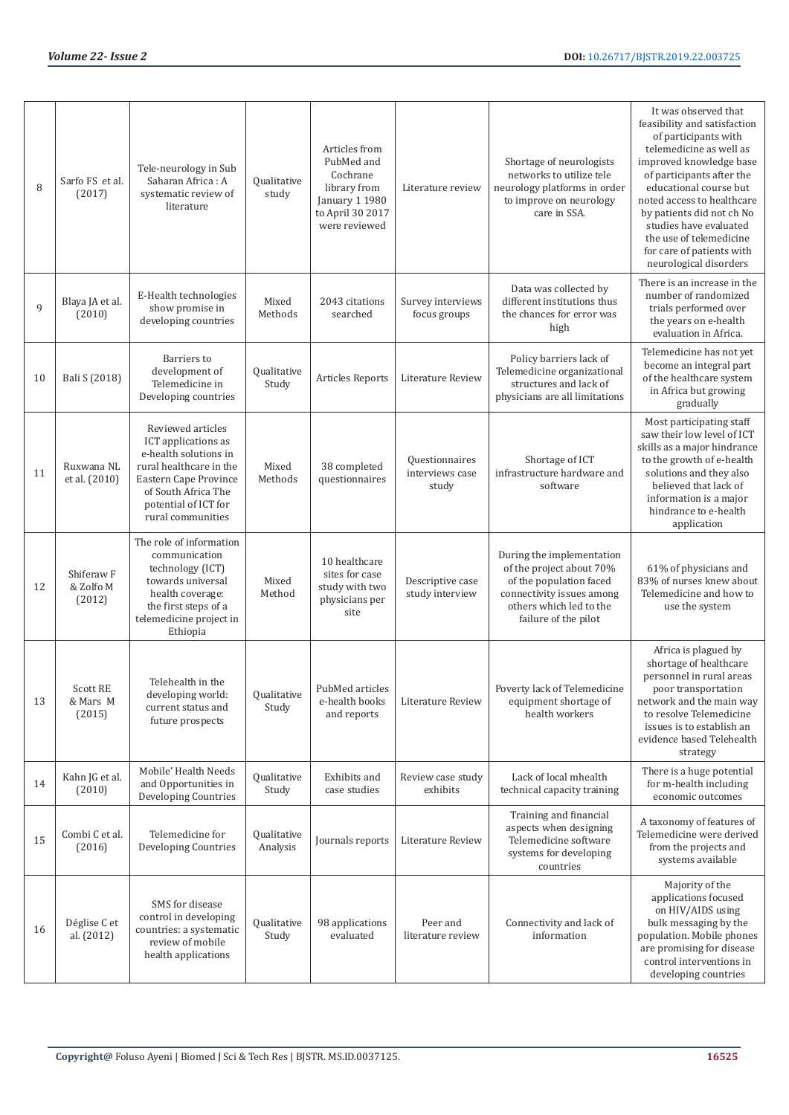| 8  | Sarfo FS et al.<br>(2017)                    | Tele-neurology in Sub<br>Saharan Africa: A<br>systematic review of<br>literature                                                                                                          | Qualitative<br>study    | Articles from<br>PubMed and<br>Cochrane<br>library from<br>January 1 1980<br>to April 30 2017<br>were reviewed | Literature review                          | Shortage of neurologists<br>networks to utilize tele<br>neurology platforms in order<br>to improve on neurology<br>care in SSA.                                  | It was observed that<br>feasibility and satisfaction<br>of participants with<br>telemedicine as well as<br>improved knowledge base<br>of participants after the<br>educational course but<br>noted access to healthcare<br>by patients did not ch No<br>studies have evaluated<br>the use of telemedicine<br>for care of patients with<br>neurological disorders |
|----|----------------------------------------------|-------------------------------------------------------------------------------------------------------------------------------------------------------------------------------------------|-------------------------|----------------------------------------------------------------------------------------------------------------|--------------------------------------------|------------------------------------------------------------------------------------------------------------------------------------------------------------------|------------------------------------------------------------------------------------------------------------------------------------------------------------------------------------------------------------------------------------------------------------------------------------------------------------------------------------------------------------------|
| 9  | Blaya JA et al.<br>(2010)                    | E-Health technologies<br>show promise in<br>developing countries                                                                                                                          | Mixed<br>Methods        | 2043 citations<br>searched                                                                                     | Survey interviews<br>focus groups          | Data was collected by<br>different institutions thus<br>the chances for error was<br>high                                                                        | There is an increase in the<br>number of randomized<br>trials performed over<br>the years on e-health<br>evaluation in Africa.                                                                                                                                                                                                                                   |
| 10 | Bali S (2018)                                | Barriers to<br>development of<br>Telemedicine in<br>Developing countries                                                                                                                  | Qualitative<br>Study    | <b>Articles Reports</b>                                                                                        | Literature Review                          | Policy barriers lack of<br>Telemedicine organizational<br>structures and lack of<br>physicians are all limitations                                               | Telemedicine has not yet<br>become an integral part<br>of the healthcare system<br>in Africa but growing<br>gradually                                                                                                                                                                                                                                            |
| 11 | Ruxwana NL<br>et al. (2010)                  | Reviewed articles<br>ICT applications as<br>e-health solutions in<br>rural healthcare in the<br>Eastern Cape Province<br>of South Africa The<br>potential of ICT for<br>rural communities | Mixed<br>Methods        | 38 completed<br>questionnaires                                                                                 | Questionnaires<br>interviews case<br>study | Shortage of ICT<br>infrastructure hardware and<br>software                                                                                                       | Most participating staff<br>saw their low level of ICT<br>skills as a major hindrance<br>to the growth of e-health<br>solutions and they also<br>believed that lack of<br>information is a major<br>hindrance to e-health<br>application                                                                                                                         |
| 12 | Shiferaw <sub>F</sub><br>& Zolfo M<br>(2012) | The role of information<br>communication<br>technology (ICT)<br>towards universal<br>health coverage:<br>the first steps of a<br>telemedicine project in<br>Ethiopia                      | Mixed<br>Method         | 10 healthcare<br>sites for case<br>study with two<br>physicians per<br>site                                    | Descriptive case<br>study interview        | During the implementation<br>of the project about 70%<br>of the population faced<br>connectivity issues among<br>others which led to the<br>failure of the pilot | 61% of physicians and<br>83% of nurses knew about<br>Telemedicine and how to<br>use the system                                                                                                                                                                                                                                                                   |
| 13 | <b>Scott RE</b><br>& Mars M<br>(2015)        | Telehealth in the<br>developing world:<br>current status and<br>future prospects                                                                                                          | Qualitative<br>Study    | PubMed articles<br>e-health books<br>and reports                                                               | Literature Review                          | Poverty lack of Telemedicine<br>equipment shortage of<br>health workers                                                                                          | Africa is plagued by<br>shortage of healthcare<br>personnel in rural areas<br>poor transportation<br>network and the main way<br>to resolve Telemedicine<br>issues is to establish an<br>evidence based Telehealth<br>strategy                                                                                                                                   |
| 14 | Kahn JG et al.<br>(2010)                     | Mobile' Health Needs<br>and Opportunities in<br>Developing Countries                                                                                                                      | Qualitative<br>Study    | Exhibits and<br>case studies                                                                                   | Review case study<br>exhibits              | Lack of local mhealth<br>technical capacity training                                                                                                             | There is a huge potential<br>for m-health including<br>economic outcomes                                                                                                                                                                                                                                                                                         |
| 15 | Combi C et al.<br>(2016)                     | Telemedicine for<br><b>Developing Countries</b>                                                                                                                                           | Qualitative<br>Analysis | Journals reports                                                                                               | Literature Review                          | Training and financial<br>aspects when designing<br>Telemedicine software<br>systems for developing<br>countries                                                 | A taxonomy of features of<br>Telemedicine were derived<br>from the projects and<br>systems available                                                                                                                                                                                                                                                             |
| 16 | Déglise C et<br>al. (2012)                   | SMS for disease<br>control in developing<br>countries: a systematic<br>review of mobile<br>health applications                                                                            | Qualitative<br>Study    | 98 applications<br>evaluated                                                                                   | Peer and<br>literature review              | Connectivity and lack of<br>information                                                                                                                          | Majority of the<br>applications focused<br>on HIV/AIDS using<br>bulk messaging by the<br>population. Mobile phones<br>are promising for disease<br>control interventions in<br>developing countries                                                                                                                                                              |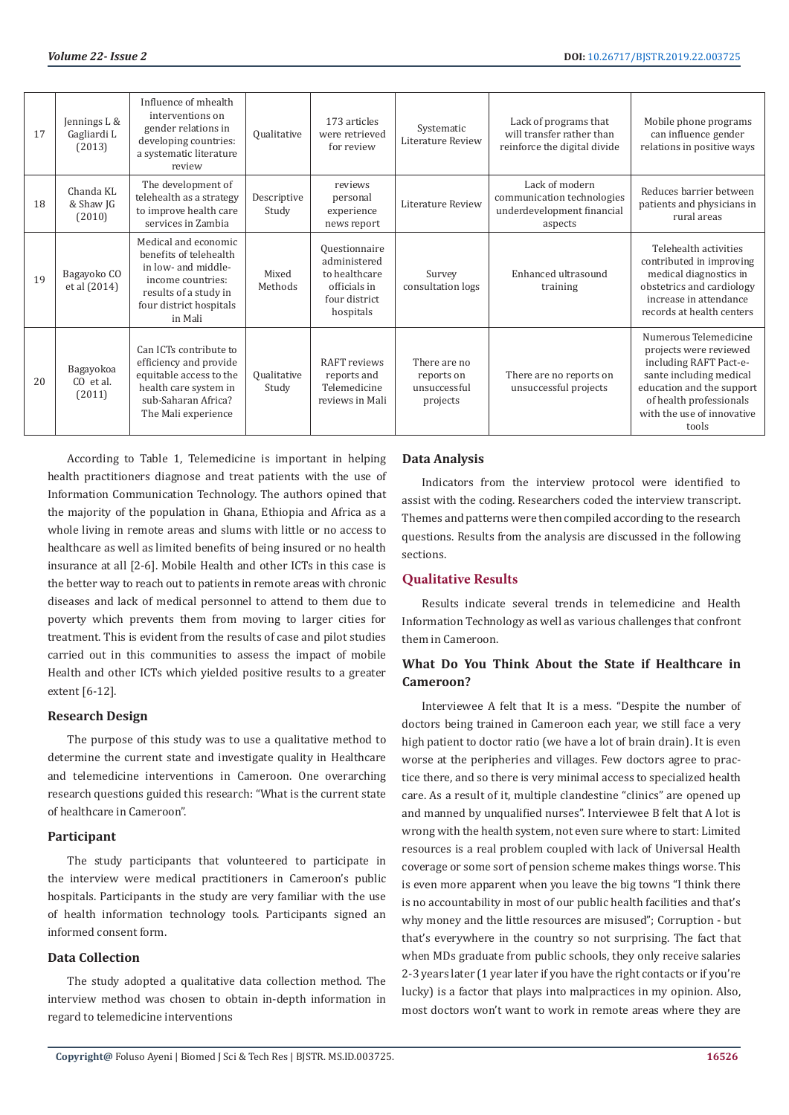| 17 | Jennings L &<br>Gagliardi L<br>(2013) | Influence of mhealth<br>interventions on<br>gender relations in<br>developing countries:<br>a systematic literature<br>review                             | Qualitative          | 173 articles<br>were retrieved<br>for review                                                 | Systematic<br>Literature Review                        | Lack of programs that<br>will transfer rather than<br>reinforce the digital divide    | Mobile phone programs<br>can influence gender<br>relations in positive ways                                                                                                                         |
|----|---------------------------------------|-----------------------------------------------------------------------------------------------------------------------------------------------------------|----------------------|----------------------------------------------------------------------------------------------|--------------------------------------------------------|---------------------------------------------------------------------------------------|-----------------------------------------------------------------------------------------------------------------------------------------------------------------------------------------------------|
| 18 | Chanda KL<br>& Shaw JG<br>(2010)      | The development of<br>telehealth as a strategy<br>to improve health care<br>services in Zambia                                                            | Descriptive<br>Study | reviews<br>personal<br>experience<br>news report                                             | Literature Review                                      | Lack of modern<br>communication technologies<br>underdevelopment financial<br>aspects | Reduces barrier between<br>patients and physicians in<br>rural areas                                                                                                                                |
| 19 | Bagayoko CO<br>et al (2014)           | Medical and economic<br>benefits of telehealth<br>in low- and middle-<br>income countries:<br>results of a study in<br>four district hospitals<br>in Mali | Mixed<br>Methods     | Ouestionnaire<br>administered<br>to healthcare<br>officials in<br>four district<br>hospitals | Survey<br>consultation logs                            | Enhanced ultrasound<br>training                                                       | Telehealth activities<br>contributed in improving<br>medical diagnostics in<br>obstetrics and cardiology<br>increase in attendance<br>records at health centers                                     |
| 20 | Bagayokoa<br>CO et al.<br>(2011)      | Can ICTs contribute to<br>efficiency and provide<br>equitable access to the<br>health care system in<br>sub-Saharan Africa?<br>The Mali experience        | Qualitative<br>Study | <b>RAFT</b> reviews<br>reports and<br>Telemedicine<br>reviews in Mali                        | There are no<br>reports on<br>unsuccessful<br>projects | There are no reports on<br>unsuccessful projects                                      | Numerous Telemedicine<br>projects were reviewed<br>including RAFT Pact-e-<br>sante including medical<br>education and the support<br>of health professionals<br>with the use of innovative<br>tools |

According to Table 1, Telemedicine is important in helping health practitioners diagnose and treat patients with the use of Information Communication Technology. The authors opined that the majority of the population in Ghana, Ethiopia and Africa as a whole living in remote areas and slums with little or no access to healthcare as well as limited benefits of being insured or no health insurance at all [2-6]. Mobile Health and other ICTs in this case is the better way to reach out to patients in remote areas with chronic diseases and lack of medical personnel to attend to them due to poverty which prevents them from moving to larger cities for treatment. This is evident from the results of case and pilot studies carried out in this communities to assess the impact of mobile Health and other ICTs which yielded positive results to a greater extent [6-12].

# **Research Design**

The purpose of this study was to use a qualitative method to determine the current state and investigate quality in Healthcare and telemedicine interventions in Cameroon. One overarching research questions guided this research: "What is the current state of healthcare in Cameroon".

#### **Participant**

The study participants that volunteered to participate in the interview were medical practitioners in Cameroon's public hospitals. Participants in the study are very familiar with the use of health information technology tools. Participants signed an informed consent form.

# **Data Collection**

The study adopted a qualitative data collection method. The interview method was chosen to obtain in-depth information in regard to telemedicine interventions

#### **Data Analysis**

Indicators from the interview protocol were identified to assist with the coding. Researchers coded the interview transcript. Themes and patterns were then compiled according to the research questions. Results from the analysis are discussed in the following sections.

# **Qualitative Results**

Results indicate several trends in telemedicine and Health Information Technology as well as various challenges that confront them in Cameroon.

# **What Do You Think About the State if Healthcare in Cameroon?**

Interviewee A felt that It is a mess. "Despite the number of doctors being trained in Cameroon each year, we still face a very high patient to doctor ratio (we have a lot of brain drain). It is even worse at the peripheries and villages. Few doctors agree to practice there, and so there is very minimal access to specialized health care. As a result of it, multiple clandestine "clinics" are opened up and manned by unqualified nurses". Interviewee B felt that A lot is wrong with the health system, not even sure where to start: Limited resources is a real problem coupled with lack of Universal Health coverage or some sort of pension scheme makes things worse. This is even more apparent when you leave the big towns "I think there is no accountability in most of our public health facilities and that's why money and the little resources are misused"; Corruption - but that's everywhere in the country so not surprising. The fact that when MDs graduate from public schools, they only receive salaries 2-3 years later (1 year later if you have the right contacts or if you're lucky) is a factor that plays into malpractices in my opinion. Also, most doctors won't want to work in remote areas where they are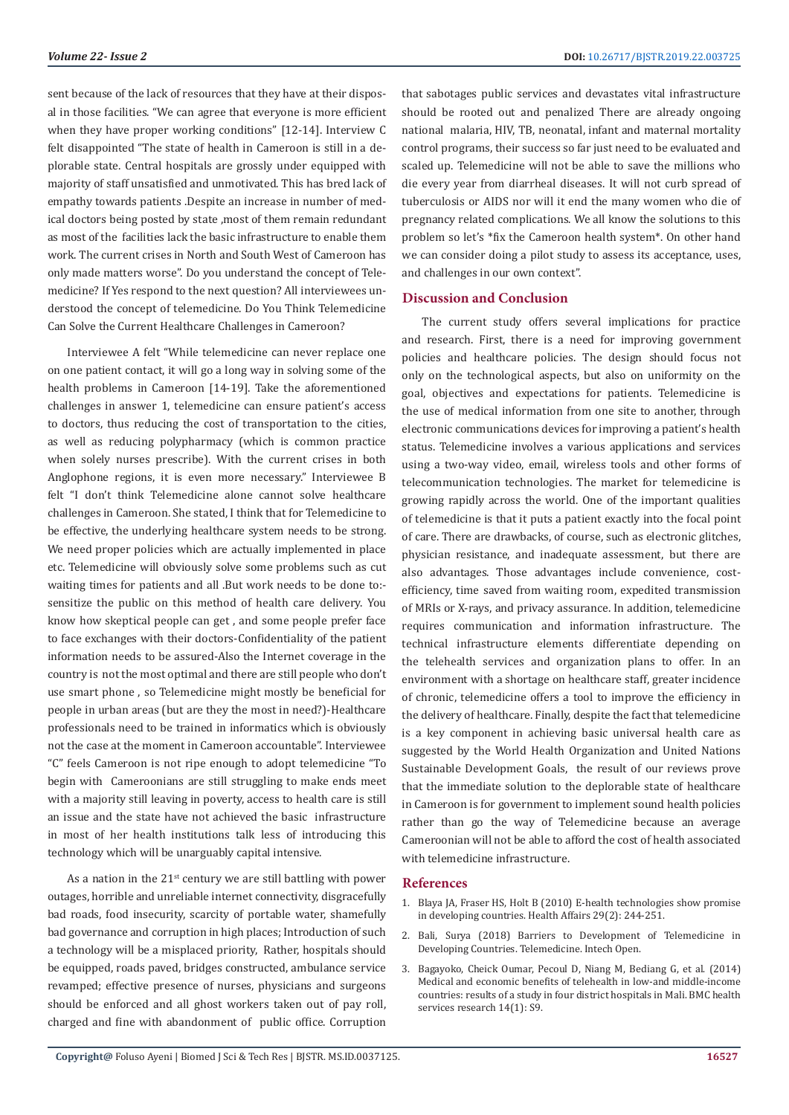sent because of the lack of resources that they have at their disposal in those facilities. "We can agree that everyone is more efficient when they have proper working conditions" [12-14]. Interview C felt disappointed "The state of health in Cameroon is still in a deplorable state. Central hospitals are grossly under equipped with majority of staff unsatisfied and unmotivated. This has bred lack of empathy towards patients .Despite an increase in number of medical doctors being posted by state ,most of them remain redundant as most of the facilities lack the basic infrastructure to enable them work. The current crises in North and South West of Cameroon has only made matters worse". Do you understand the concept of Telemedicine? If Yes respond to the next question? All interviewees understood the concept of telemedicine. Do You Think Telemedicine Can Solve the Current Healthcare Challenges in Cameroon?

Interviewee A felt "While telemedicine can never replace one on one patient contact, it will go a long way in solving some of the health problems in Cameroon [14-19]. Take the aforementioned challenges in answer 1, telemedicine can ensure patient's access to doctors, thus reducing the cost of transportation to the cities, as well as reducing polypharmacy (which is common practice when solely nurses prescribe). With the current crises in both Anglophone regions, it is even more necessary." Interviewee B felt "I don't think Telemedicine alone cannot solve healthcare challenges in Cameroon. She stated, I think that for Telemedicine to be effective, the underlying healthcare system needs to be strong. We need proper policies which are actually implemented in place etc. Telemedicine will obviously solve some problems such as cut waiting times for patients and all .But work needs to be done to: sensitize the public on this method of health care delivery. You know how skeptical people can get , and some people prefer face to face exchanges with their doctors-Confidentiality of the patient information needs to be assured-Also the Internet coverage in the country is not the most optimal and there are still people who don't use smart phone , so Telemedicine might mostly be beneficial for people in urban areas (but are they the most in need?)-Healthcare professionals need to be trained in informatics which is obviously not the case at the moment in Cameroon accountable". Interviewee "C" feels Cameroon is not ripe enough to adopt telemedicine "To begin with Cameroonians are still struggling to make ends meet with a majority still leaving in poverty, access to health care is still an issue and the state have not achieved the basic infrastructure in most of her health institutions talk less of introducing this technology which will be unarguably capital intensive.

As a nation in the  $21^{st}$  century we are still battling with power outages, horrible and unreliable internet connectivity, disgracefully bad roads, food insecurity, scarcity of portable water, shamefully bad governance and corruption in high places; Introduction of such a technology will be a misplaced priority, Rather, hospitals should be equipped, roads paved, bridges constructed, ambulance service revamped; effective presence of nurses, physicians and surgeons should be enforced and all ghost workers taken out of pay roll, charged and fine with abandonment of public office. Corruption

that sabotages public services and devastates vital infrastructure should be rooted out and penalized There are already ongoing national malaria, HIV, TB, neonatal, infant and maternal mortality control programs, their success so far just need to be evaluated and scaled up. Telemedicine will not be able to save the millions who die every year from diarrheal diseases. It will not curb spread of tuberculosis or AIDS nor will it end the many women who die of pregnancy related complications. We all know the solutions to this problem so let's \*fix the Cameroon health system\*. On other hand we can consider doing a pilot study to assess its acceptance, uses, and challenges in our own context".

# **Discussion and Conclusion**

The current study offers several implications for practice and research. First, there is a need for improving government policies and healthcare policies. The design should focus not only on the technological aspects, but also on uniformity on the goal, objectives and expectations for patients. Telemedicine is the use of medical information from one site to another, through electronic communications devices for improving a patient's health status. Telemedicine involves a various applications and services using a two-way video, email, wireless tools and other forms of telecommunication technologies. The market for telemedicine is growing rapidly across the world. One of the important qualities of telemedicine is that it puts a patient exactly into the focal point of care. There are drawbacks, of course, such as electronic glitches, physician resistance, and inadequate assessment, but there are also advantages. Those advantages include convenience, costefficiency, time saved from waiting room, expedited transmission of MRIs or X-rays, and privacy assurance. In addition, telemedicine requires communication and information infrastructure. The technical infrastructure elements differentiate depending on the telehealth services and organization plans to offer. In an environment with a shortage on healthcare staff, greater incidence of chronic, telemedicine offers a tool to improve the efficiency in the delivery of healthcare. Finally, despite the fact that telemedicine is a key component in achieving basic universal health care as suggested by the World Health Organization and United Nations Sustainable Development Goals, the result of our reviews prove that the immediate solution to the deplorable state of healthcare in Cameroon is for government to implement sound health policies rather than go the way of Telemedicine because an average Cameroonian will not be able to afford the cost of health associated with telemedicine infrastructure.

#### **References**

- 1. [Blaya JA, Fraser HS, Holt B \(2010\) E-health technologies show promise](https://www.ncbi.nlm.nih.gov/pubmed/20348068) [in developing countries. Health Affairs 29\(2\): 244-251.](https://www.ncbi.nlm.nih.gov/pubmed/20348068)
- 2. Bali, Surya (2018) Barriers to Development of Telemedicine in Developing Countries. Telemedicine. Intech Open.
- 3. Bagayoko, Cheick Oumar, [Pecoul D,](https://www.ncbi.nlm.nih.gov/pubmed/?term=Pecoul%20D%5BAuthor%5D&cauthor=true&cauthor_uid=25080312) [Niang M,](https://www.ncbi.nlm.nih.gov/pubmed/?term=Niang%20M%5BAuthor%5D&cauthor=true&cauthor_uid=25080312) [Bediang G,](https://www.ncbi.nlm.nih.gov/pubmed/?term=Bediang%20G%5BAuthor%5D&cauthor=true&cauthor_uid=25080312) et al. (2014) Medical and economic benefits of telehealth in low-and middle-income countries: results of a study in four district hospitals in Mali. BMC health services research 14(1): S9.